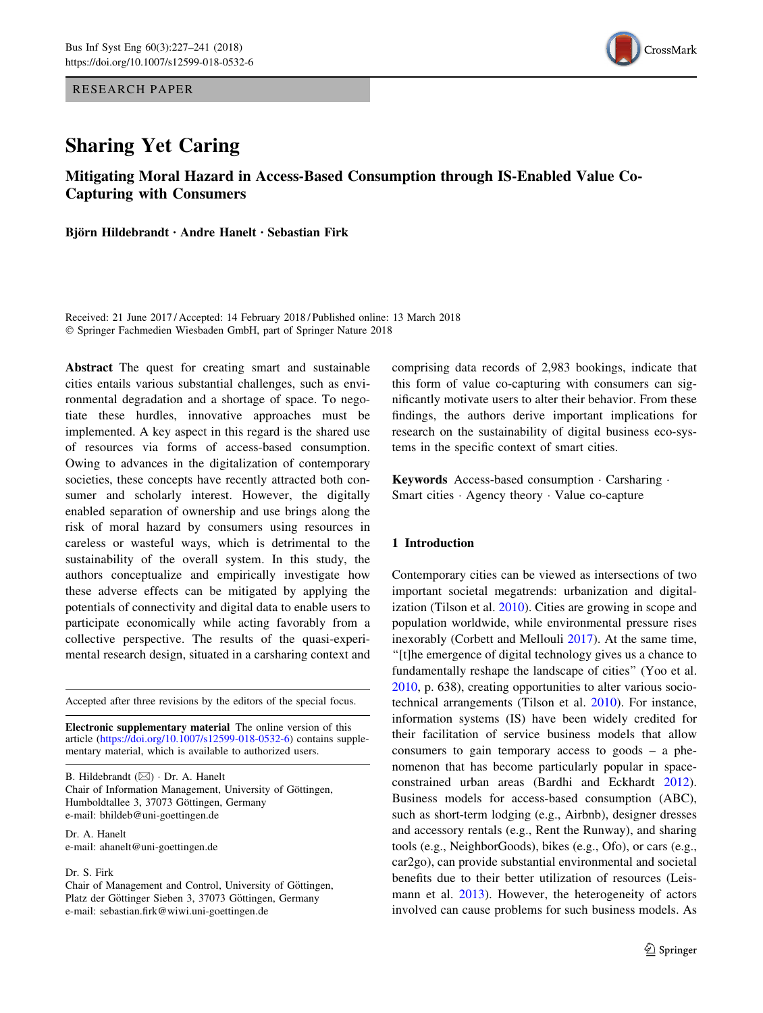RESEARCH PAPER



# Sharing Yet Caring

Mitigating Moral Hazard in Access-Based Consumption through IS-Enabled Value Co-Capturing with Consumers

Björn Hildebrandt · Andre Hanelt · Sebastian Firk

Received: 21 June 2017 / Accepted: 14 February 2018 / Published online: 13 March 2018 - Springer Fachmedien Wiesbaden GmbH, part of Springer Nature 2018

Abstract The quest for creating smart and sustainable cities entails various substantial challenges, such as environmental degradation and a shortage of space. To negotiate these hurdles, innovative approaches must be implemented. A key aspect in this regard is the shared use of resources via forms of access-based consumption. Owing to advances in the digitalization of contemporary societies, these concepts have recently attracted both consumer and scholarly interest. However, the digitally enabled separation of ownership and use brings along the risk of moral hazard by consumers using resources in careless or wasteful ways, which is detrimental to the sustainability of the overall system. In this study, the authors conceptualize and empirically investigate how these adverse effects can be mitigated by applying the potentials of connectivity and digital data to enable users to participate economically while acting favorably from a collective perspective. The results of the quasi-experimental research design, situated in a carsharing context and

Accepted after three revisions by the editors of the special focus.

Electronic supplementary material The online version of this article [\(https://doi.org/10.1007/s12599-018-0532-6](https://doi.org/10.1007/s12599-018-0532-6)) contains supplementary material, which is available to authorized users.

B. Hildebrandt (⊠) · Dr. A. Hanelt Chair of Information Management, University of Göttingen, Humboldtallee 3, 37073 Göttingen, Germany e-mail: bhildeb@uni-goettingen.de

Dr. A. Hanelt e-mail: ahanelt@uni-goettingen.de

# Dr. S. Firk

Chair of Management and Control, University of Göttingen, Platz der Göttinger Sieben 3, 37073 Göttingen, Germany e-mail: sebastian.firk@wiwi.uni-goettingen.de

comprising data records of 2,983 bookings, indicate that this form of value co-capturing with consumers can significantly motivate users to alter their behavior. From these findings, the authors derive important implications for research on the sustainability of digital business eco-systems in the specific context of smart cities.

Keywords Access-based consumption - Carsharing - Smart cities - Agency theory - Value co-capture

## 1 Introduction

Contemporary cities can be viewed as intersections of two important societal megatrends: urbanization and digitalization (Tilson et al. [2010](#page-14-0)). Cities are growing in scope and population worldwide, while environmental pressure rises inexorably (Corbett and Mellouli [2017](#page-13-0)). At the same time, ''[t]he emergence of digital technology gives us a chance to fundamentally reshape the landscape of cities'' (Yoo et al. [2010](#page-14-0), p. 638), creating opportunities to alter various sociotechnical arrangements (Tilson et al. [2010\)](#page-14-0). For instance, information systems (IS) have been widely credited for their facilitation of service business models that allow consumers to gain temporary access to goods – a phenomenon that has become particularly popular in spaceconstrained urban areas (Bardhi and Eckhardt [2012](#page-13-0)). Business models for access-based consumption (ABC), such as short-term lodging (e.g., Airbnb), designer dresses and accessory rentals (e.g., Rent the Runway), and sharing tools (e.g., NeighborGoods), bikes (e.g., Ofo), or cars (e.g., car2go), can provide substantial environmental and societal benefits due to their better utilization of resources (Leismann et al. [2013](#page-14-0)). However, the heterogeneity of actors involved can cause problems for such business models. As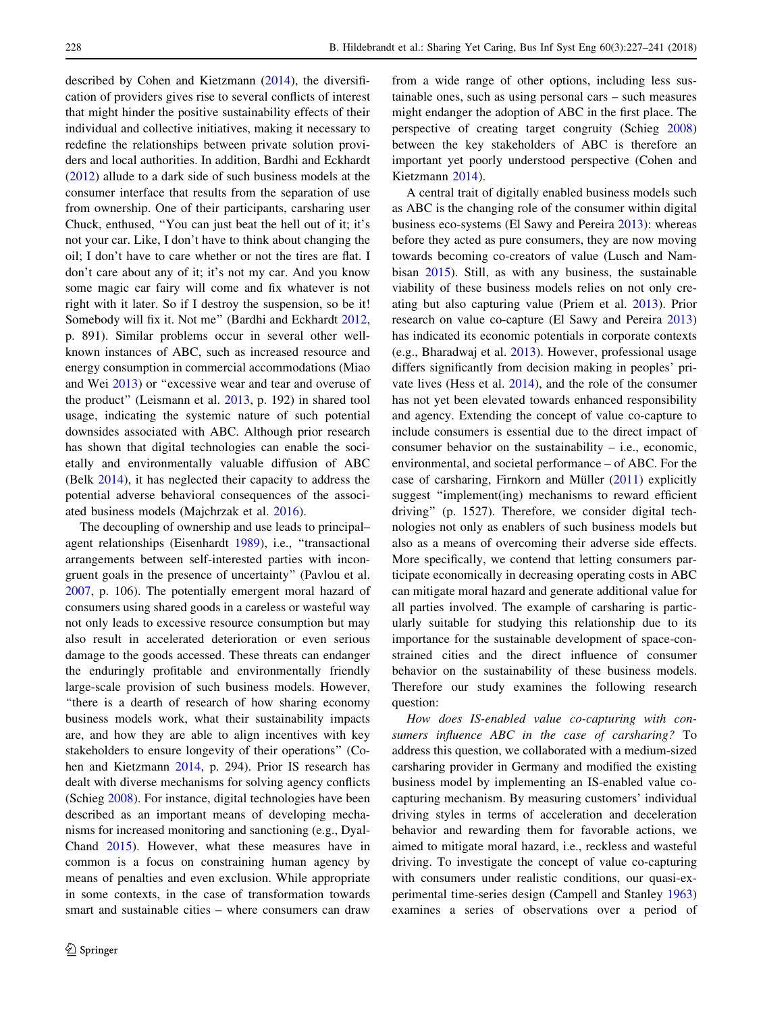described by Cohen and Kietzmann [\(2014](#page-13-0)), the diversification of providers gives rise to several conflicts of interest that might hinder the positive sustainability effects of their individual and collective initiatives, making it necessary to redefine the relationships between private solution providers and local authorities. In addition, Bardhi and Eckhardt [\(2012](#page-13-0)) allude to a dark side of such business models at the consumer interface that results from the separation of use from ownership. One of their participants, carsharing user Chuck, enthused, ''You can just beat the hell out of it; it's not your car. Like, I don't have to think about changing the oil; I don't have to care whether or not the tires are flat. I don't care about any of it; it's not my car. And you know some magic car fairy will come and fix whatever is not right with it later. So if I destroy the suspension, so be it! Somebody will fix it. Not me'' (Bardhi and Eckhardt [2012,](#page-13-0) p. 891). Similar problems occur in several other wellknown instances of ABC, such as increased resource and energy consumption in commercial accommodations (Miao and Wei [2013\)](#page-14-0) or ''excessive wear and tear and overuse of the product'' (Leismann et al. [2013](#page-14-0), p. 192) in shared tool usage, indicating the systemic nature of such potential downsides associated with ABC. Although prior research has shown that digital technologies can enable the societally and environmentally valuable diffusion of ABC (Belk [2014\)](#page-13-0), it has neglected their capacity to address the potential adverse behavioral consequences of the associated business models (Majchrzak et al. [2016\)](#page-14-0).

The decoupling of ownership and use leads to principal– agent relationships (Eisenhardt [1989](#page-13-0)), i.e., ''transactional arrangements between self-interested parties with incongruent goals in the presence of uncertainty'' (Pavlou et al. [2007,](#page-14-0) p. 106). The potentially emergent moral hazard of consumers using shared goods in a careless or wasteful way not only leads to excessive resource consumption but may also result in accelerated deterioration or even serious damage to the goods accessed. These threats can endanger the enduringly profitable and environmentally friendly large-scale provision of such business models. However, ''there is a dearth of research of how sharing economy business models work, what their sustainability impacts are, and how they are able to align incentives with key stakeholders to ensure longevity of their operations'' (Cohen and Kietzmann [2014,](#page-13-0) p. 294). Prior IS research has dealt with diverse mechanisms for solving agency conflicts (Schieg [2008](#page-14-0)). For instance, digital technologies have been described as an important means of developing mechanisms for increased monitoring and sanctioning (e.g., Dyal-Chand [2015](#page-13-0)). However, what these measures have in common is a focus on constraining human agency by means of penalties and even exclusion. While appropriate in some contexts, in the case of transformation towards smart and sustainable cities – where consumers can draw from a wide range of other options, including less sustainable ones, such as using personal cars – such measures might endanger the adoption of ABC in the first place. The perspective of creating target congruity (Schieg [2008\)](#page-14-0) between the key stakeholders of ABC is therefore an important yet poorly understood perspective (Cohen and Kietzmann [2014](#page-13-0)).

A central trait of digitally enabled business models such as ABC is the changing role of the consumer within digital business eco-systems (El Sawy and Pereira [2013\)](#page-13-0): whereas before they acted as pure consumers, they are now moving towards becoming co-creators of value (Lusch and Nambisan [2015](#page-14-0)). Still, as with any business, the sustainable viability of these business models relies on not only creating but also capturing value (Priem et al. [2013](#page-14-0)). Prior research on value co-capture (El Sawy and Pereira [2013\)](#page-13-0) has indicated its economic potentials in corporate contexts (e.g., Bharadwaj et al. [2013\)](#page-13-0). However, professional usage differs significantly from decision making in peoples' private lives (Hess et al. [2014](#page-13-0)), and the role of the consumer has not yet been elevated towards enhanced responsibility and agency. Extending the concept of value co-capture to include consumers is essential due to the direct impact of consumer behavior on the sustainability – i.e., economic, environmental, and societal performance – of ABC. For the case of carsharing, Firnkorn and Müller  $(2011)$  $(2011)$  explicitly suggest "implement(ing) mechanisms to reward efficient driving'' (p. 1527). Therefore, we consider digital technologies not only as enablers of such business models but also as a means of overcoming their adverse side effects. More specifically, we contend that letting consumers participate economically in decreasing operating costs in ABC can mitigate moral hazard and generate additional value for all parties involved. The example of carsharing is particularly suitable for studying this relationship due to its importance for the sustainable development of space-constrained cities and the direct influence of consumer behavior on the sustainability of these business models. Therefore our study examines the following research question:

How does IS-enabled value co-capturing with consumers influence ABC in the case of carsharing? To address this question, we collaborated with a medium-sized carsharing provider in Germany and modified the existing business model by implementing an IS-enabled value cocapturing mechanism. By measuring customers' individual driving styles in terms of acceleration and deceleration behavior and rewarding them for favorable actions, we aimed to mitigate moral hazard, i.e., reckless and wasteful driving. To investigate the concept of value co-capturing with consumers under realistic conditions, our quasi-experimental time-series design (Campell and Stanley [1963\)](#page-13-0) examines a series of observations over a period of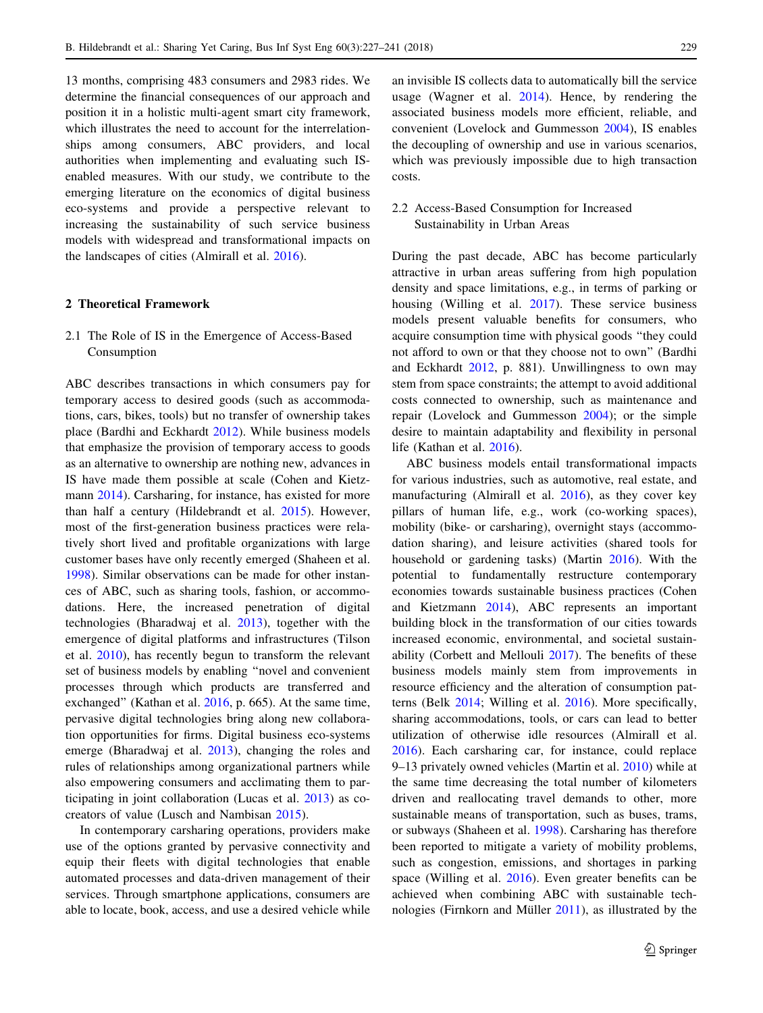13 months, comprising 483 consumers and 2983 rides. We determine the financial consequences of our approach and position it in a holistic multi-agent smart city framework, which illustrates the need to account for the interrelationships among consumers, ABC providers, and local authorities when implementing and evaluating such ISenabled measures. With our study, we contribute to the emerging literature on the economics of digital business eco-systems and provide a perspective relevant to increasing the sustainability of such service business models with widespread and transformational impacts on the landscapes of cities (Almirall et al. [2016\)](#page-13-0).

## 2 Theoretical Framework

# 2.1 The Role of IS in the Emergence of Access-Based Consumption

ABC describes transactions in which consumers pay for temporary access to desired goods (such as accommodations, cars, bikes, tools) but no transfer of ownership takes place (Bardhi and Eckhardt [2012](#page-13-0)). While business models that emphasize the provision of temporary access to goods as an alternative to ownership are nothing new, advances in IS have made them possible at scale (Cohen and Kietz-mann [2014](#page-13-0)). Carsharing, for instance, has existed for more than half a century (Hildebrandt et al. [2015\)](#page-14-0). However, most of the first-generation business practices were relatively short lived and profitable organizations with large customer bases have only recently emerged (Shaheen et al. [1998\)](#page-14-0). Similar observations can be made for other instances of ABC, such as sharing tools, fashion, or accommodations. Here, the increased penetration of digital technologies (Bharadwaj et al. [2013](#page-13-0)), together with the emergence of digital platforms and infrastructures (Tilson et al. [2010\)](#page-14-0), has recently begun to transform the relevant set of business models by enabling ''novel and convenient processes through which products are transferred and exchanged'' (Kathan et al. [2016](#page-14-0), p. 665). At the same time, pervasive digital technologies bring along new collaboration opportunities for firms. Digital business eco-systems emerge (Bharadwaj et al. [2013](#page-13-0)), changing the roles and rules of relationships among organizational partners while also empowering consumers and acclimating them to participating in joint collaboration (Lucas et al. [2013](#page-14-0)) as cocreators of value (Lusch and Nambisan [2015](#page-14-0)).

In contemporary carsharing operations, providers make use of the options granted by pervasive connectivity and equip their fleets with digital technologies that enable automated processes and data-driven management of their services. Through smartphone applications, consumers are able to locate, book, access, and use a desired vehicle while an invisible IS collects data to automatically bill the service usage (Wagner et al. [2014](#page-14-0)). Hence, by rendering the associated business models more efficient, reliable, and convenient (Lovelock and Gummesson [2004\)](#page-14-0), IS enables the decoupling of ownership and use in various scenarios, which was previously impossible due to high transaction costs.

# 2.2 Access-Based Consumption for Increased Sustainability in Urban Areas

During the past decade, ABC has become particularly attractive in urban areas suffering from high population density and space limitations, e.g., in terms of parking or housing (Willing et al. [2017\)](#page-14-0). These service business models present valuable benefits for consumers, who acquire consumption time with physical goods ''they could not afford to own or that they choose not to own'' (Bardhi and Eckhardt [2012,](#page-13-0) p. 881). Unwillingness to own may stem from space constraints; the attempt to avoid additional costs connected to ownership, such as maintenance and repair (Lovelock and Gummesson [2004](#page-14-0)); or the simple desire to maintain adaptability and flexibility in personal life (Kathan et al. [2016](#page-14-0)).

ABC business models entail transformational impacts for various industries, such as automotive, real estate, and manufacturing (Almirall et al. [2016\)](#page-13-0), as they cover key pillars of human life, e.g., work (co-working spaces), mobility (bike- or carsharing), overnight stays (accommodation sharing), and leisure activities (shared tools for household or gardening tasks) (Martin [2016\)](#page-14-0). With the potential to fundamentally restructure contemporary economies towards sustainable business practices (Cohen and Kietzmann [2014](#page-13-0)), ABC represents an important building block in the transformation of our cities towards increased economic, environmental, and societal sustainability (Corbett and Mellouli [2017](#page-13-0)). The benefits of these business models mainly stem from improvements in resource efficiency and the alteration of consumption patterns (Belk [2014](#page-13-0); Willing et al. [2016](#page-14-0)). More specifically, sharing accommodations, tools, or cars can lead to better utilization of otherwise idle resources (Almirall et al. [2016](#page-13-0)). Each carsharing car, for instance, could replace 9–13 privately owned vehicles (Martin et al. [2010](#page-14-0)) while at the same time decreasing the total number of kilometers driven and reallocating travel demands to other, more sustainable means of transportation, such as buses, trams, or subways (Shaheen et al. [1998\)](#page-14-0). Carsharing has therefore been reported to mitigate a variety of mobility problems, such as congestion, emissions, and shortages in parking space (Willing et al. [2016](#page-14-0)). Even greater benefits can be achieved when combining ABC with sustainable tech-nologies (Firnkorn and Müller [2011\)](#page-13-0), as illustrated by the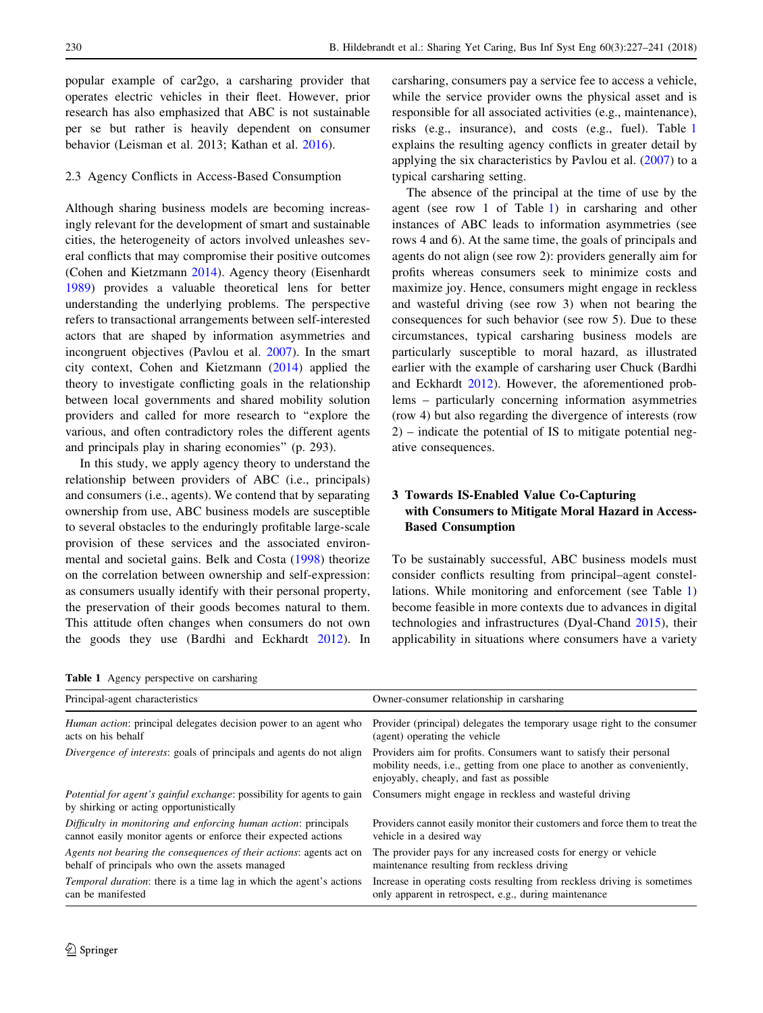popular example of car2go, a carsharing provider that operates electric vehicles in their fleet. However, prior research has also emphasized that ABC is not sustainable per se but rather is heavily dependent on consumer behavior (Leisman et al. 2013; Kathan et al. [2016](#page-14-0)).

# 2.3 Agency Conflicts in Access-Based Consumption

Although sharing business models are becoming increasingly relevant for the development of smart and sustainable cities, the heterogeneity of actors involved unleashes several conflicts that may compromise their positive outcomes (Cohen and Kietzmann [2014\)](#page-13-0). Agency theory (Eisenhardt [1989\)](#page-13-0) provides a valuable theoretical lens for better understanding the underlying problems. The perspective refers to transactional arrangements between self-interested actors that are shaped by information asymmetries and incongruent objectives (Pavlou et al. [2007](#page-14-0)). In the smart city context, Cohen and Kietzmann [\(2014](#page-13-0)) applied the theory to investigate conflicting goals in the relationship between local governments and shared mobility solution providers and called for more research to ''explore the various, and often contradictory roles the different agents and principals play in sharing economies'' (p. 293).

In this study, we apply agency theory to understand the relationship between providers of ABC (i.e., principals) and consumers (i.e., agents). We contend that by separating ownership from use, ABC business models are susceptible to several obstacles to the enduringly profitable large-scale provision of these services and the associated environmental and societal gains. Belk and Costa [\(1998](#page-13-0)) theorize on the correlation between ownership and self-expression: as consumers usually identify with their personal property, the preservation of their goods becomes natural to them. This attitude often changes when consumers do not own the goods they use (Bardhi and Eckhardt [2012\)](#page-13-0). In

Table 1 Agency perspective on carsharing

carsharing, consumers pay a service fee to access a vehicle, while the service provider owns the physical asset and is responsible for all associated activities (e.g., maintenance), risks (e.g., insurance), and costs (e.g., fuel). Table 1 explains the resulting agency conflicts in greater detail by applying the six characteristics by Pavlou et al. [\(2007](#page-14-0)) to a typical carsharing setting.

The absence of the principal at the time of use by the agent (see row 1 of Table 1) in carsharing and other instances of ABC leads to information asymmetries (see rows 4 and 6). At the same time, the goals of principals and agents do not align (see row 2): providers generally aim for profits whereas consumers seek to minimize costs and maximize joy. Hence, consumers might engage in reckless and wasteful driving (see row 3) when not bearing the consequences for such behavior (see row 5). Due to these circumstances, typical carsharing business models are particularly susceptible to moral hazard, as illustrated earlier with the example of carsharing user Chuck (Bardhi and Eckhardt [2012](#page-13-0)). However, the aforementioned problems – particularly concerning information asymmetries (row 4) but also regarding the divergence of interests (row 2) – indicate the potential of IS to mitigate potential negative consequences.

# 3 Towards IS-Enabled Value Co-Capturing with Consumers to Mitigate Moral Hazard in Access-Based Consumption

To be sustainably successful, ABC business models must consider conflicts resulting from principal–agent constellations. While monitoring and enforcement (see Table 1) become feasible in more contexts due to advances in digital technologies and infrastructures (Dyal-Chand [2015](#page-13-0)), their applicability in situations where consumers have a variety

| Principal-agent characteristics                                                                                          | Owner-consumer relationship in carsharing                                                                                                                                                   |
|--------------------------------------------------------------------------------------------------------------------------|---------------------------------------------------------------------------------------------------------------------------------------------------------------------------------------------|
| <i>Human action:</i> principal delegates decision power to an agent who                                                  | Provider (principal) delegates the temporary usage right to the consumer                                                                                                                    |
| acts on his behalf                                                                                                       | (agent) operating the vehicle                                                                                                                                                               |
| Divergence of interests: goals of principals and agents do not align                                                     | Providers aim for profits. Consumers want to satisfy their personal<br>mobility needs, i.e., getting from one place to another as conveniently,<br>enjoyably, cheaply, and fast as possible |
| <i>Potential for agent's gainful exchange: possibility for agents to gain</i><br>by shirking or acting opportunistically | Consumers might engage in reckless and wasteful driving                                                                                                                                     |
| Difficulty in monitoring and enforcing human action: principals                                                          | Providers cannot easily monitor their customers and force them to treat the                                                                                                                 |
| cannot easily monitor agents or enforce their expected actions                                                           | vehicle in a desired way                                                                                                                                                                    |
| Agents not bearing the consequences of their actions: agents act on                                                      | The provider pays for any increased costs for energy or vehicle                                                                                                                             |
| behalf of principals who own the assets managed                                                                          | maintenance resulting from reckless driving                                                                                                                                                 |
| <i>Temporal duration:</i> there is a time lag in which the agent's actions                                               | Increase in operating costs resulting from reckless driving is sometimes                                                                                                                    |
| can be manifested                                                                                                        | only apparent in retrospect, e.g., during maintenance                                                                                                                                       |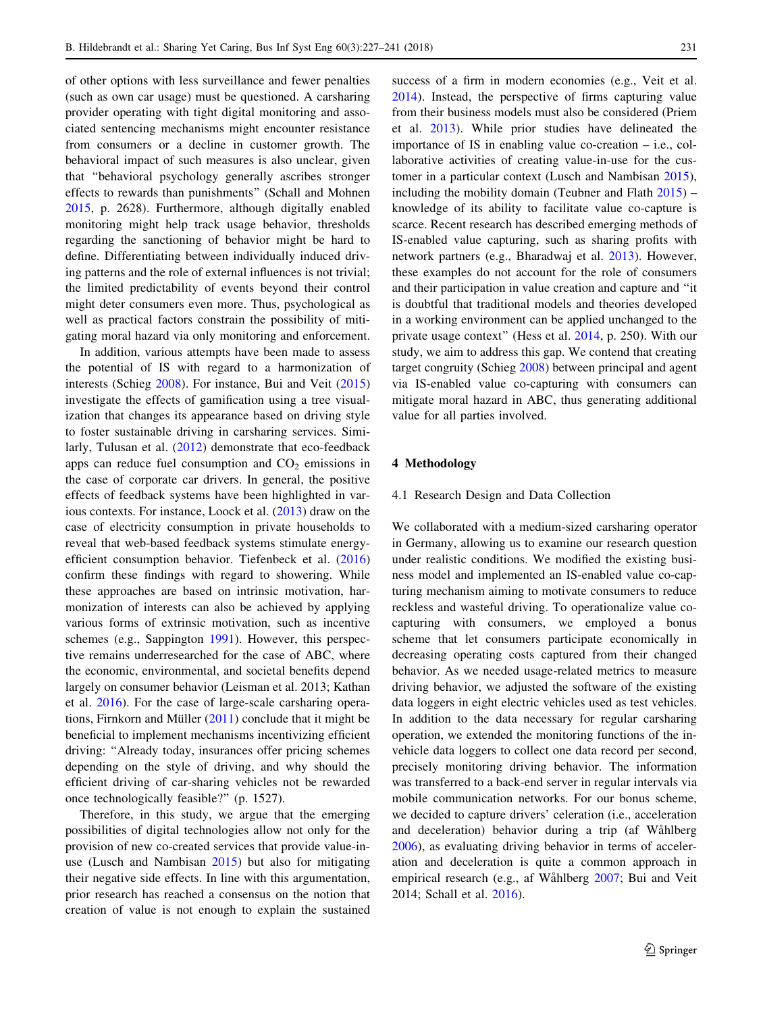of other options with less surveillance and fewer penalties (such as own car usage) must be questioned. A carsharing provider operating with tight digital monitoring and associated sentencing mechanisms might encounter resistance from consumers or a decline in customer growth. The behavioral impact of such measures is also unclear, given that ''behavioral psychology generally ascribes stronger effects to rewards than punishments'' (Schall and Mohnen [2015,](#page-14-0) p. 2628). Furthermore, although digitally enabled monitoring might help track usage behavior, thresholds regarding the sanctioning of behavior might be hard to define. Differentiating between individually induced driving patterns and the role of external influences is not trivial; the limited predictability of events beyond their control might deter consumers even more. Thus, psychological as well as practical factors constrain the possibility of mitigating moral hazard via only monitoring and enforcement.

In addition, various attempts have been made to assess the potential of IS with regard to a harmonization of interests (Schieg [2008\)](#page-14-0). For instance, Bui and Veit ([2015\)](#page-13-0) investigate the effects of gamification using a tree visualization that changes its appearance based on driving style to foster sustainable driving in carsharing services. Similarly, Tulusan et al. [\(2012](#page-14-0)) demonstrate that eco-feedback apps can reduce fuel consumption and  $CO<sub>2</sub>$  emissions in the case of corporate car drivers. In general, the positive effects of feedback systems have been highlighted in various contexts. For instance, Loock et al. [\(2013](#page-14-0)) draw on the case of electricity consumption in private households to reveal that web-based feedback systems stimulate energyefficient consumption behavior. Tiefenbeck et al. ([2016\)](#page-14-0) confirm these findings with regard to showering. While these approaches are based on intrinsic motivation, harmonization of interests can also be achieved by applying various forms of extrinsic motivation, such as incentive schemes (e.g., Sappington [1991](#page-14-0)). However, this perspective remains underresearched for the case of ABC, where the economic, environmental, and societal benefits depend largely on consumer behavior (Leisman et al. 2013; Kathan et al. [2016](#page-14-0)). For the case of large-scale carsharing operations, Firnkorn and Müller  $(2011)$  $(2011)$  conclude that it might be beneficial to implement mechanisms incentivizing efficient driving: ''Already today, insurances offer pricing schemes depending on the style of driving, and why should the efficient driving of car-sharing vehicles not be rewarded once technologically feasible?'' (p. 1527).

Therefore, in this study, we argue that the emerging possibilities of digital technologies allow not only for the provision of new co-created services that provide value-inuse (Lusch and Nambisan [2015](#page-14-0)) but also for mitigating their negative side effects. In line with this argumentation, prior research has reached a consensus on the notion that creation of value is not enough to explain the sustained success of a firm in modern economies (e.g., Veit et al. [2014](#page-14-0)). Instead, the perspective of firms capturing value from their business models must also be considered (Priem et al. [2013\)](#page-14-0). While prior studies have delineated the importance of IS in enabling value co-creation – i.e., collaborative activities of creating value-in-use for the customer in a particular context (Lusch and Nambisan [2015](#page-14-0)), including the mobility domain (Teubner and Flath  $2015$ ) – knowledge of its ability to facilitate value co-capture is scarce. Recent research has described emerging methods of IS-enabled value capturing, such as sharing profits with network partners (e.g., Bharadwaj et al. [2013](#page-13-0)). However, these examples do not account for the role of consumers and their participation in value creation and capture and ''it is doubtful that traditional models and theories developed in a working environment can be applied unchanged to the private usage context'' (Hess et al. [2014,](#page-13-0) p. 250). With our study, we aim to address this gap. We contend that creating target congruity (Schieg [2008\)](#page-14-0) between principal and agent via IS-enabled value co-capturing with consumers can mitigate moral hazard in ABC, thus generating additional value for all parties involved.

### 4 Methodology

#### 4.1 Research Design and Data Collection

We collaborated with a medium-sized carsharing operator in Germany, allowing us to examine our research question under realistic conditions. We modified the existing business model and implemented an IS-enabled value co-capturing mechanism aiming to motivate consumers to reduce reckless and wasteful driving. To operationalize value cocapturing with consumers, we employed a bonus scheme that let consumers participate economically in decreasing operating costs captured from their changed behavior. As we needed usage-related metrics to measure driving behavior, we adjusted the software of the existing data loggers in eight electric vehicles used as test vehicles. In addition to the data necessary for regular carsharing operation, we extended the monitoring functions of the invehicle data loggers to collect one data record per second, precisely monitoring driving behavior. The information was transferred to a back-end server in regular intervals via mobile communication networks. For our bonus scheme, we decided to capture drivers' celeration (i.e., acceleration and deceleration) behavior during a trip (af Wåhlberg [2006](#page-13-0)), as evaluating driving behavior in terms of acceleration and deceleration is quite a common approach in empirical research (e.g., af Wåhlberg [2007;](#page-13-0) Bui and Veit 2014; Schall et al. [2016](#page-14-0)).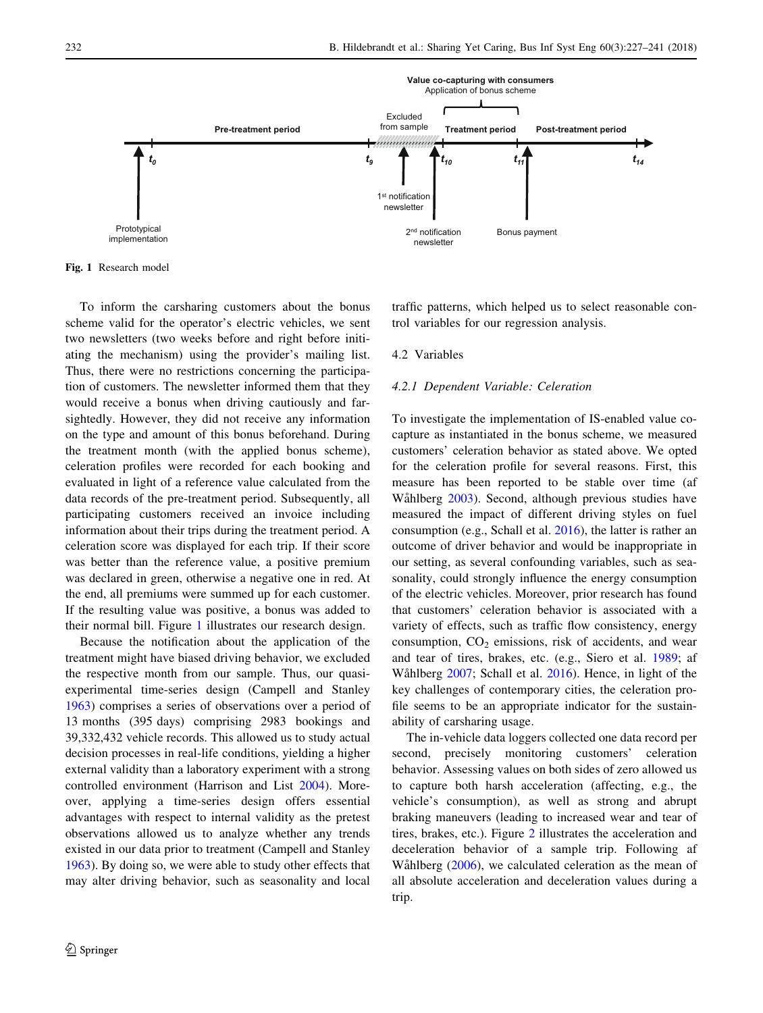

Fig. 1 Research model

To inform the carsharing customers about the bonus scheme valid for the operator's electric vehicles, we sent two newsletters (two weeks before and right before initiating the mechanism) using the provider's mailing list. Thus, there were no restrictions concerning the participation of customers. The newsletter informed them that they would receive a bonus when driving cautiously and farsightedly. However, they did not receive any information on the type and amount of this bonus beforehand. During the treatment month (with the applied bonus scheme), celeration profiles were recorded for each booking and evaluated in light of a reference value calculated from the data records of the pre-treatment period. Subsequently, all participating customers received an invoice including information about their trips during the treatment period. A celeration score was displayed for each trip. If their score was better than the reference value, a positive premium was declared in green, otherwise a negative one in red. At the end, all premiums were summed up for each customer. If the resulting value was positive, a bonus was added to their normal bill. Figure 1 illustrates our research design.

Because the notification about the application of the treatment might have biased driving behavior, we excluded the respective month from our sample. Thus, our quasiexperimental time-series design (Campell and Stanley [1963\)](#page-13-0) comprises a series of observations over a period of 13 months (395 days) comprising 2983 bookings and 39,332,432 vehicle records. This allowed us to study actual decision processes in real-life conditions, yielding a higher external validity than a laboratory experiment with a strong controlled environment (Harrison and List [2004\)](#page-13-0). Moreover, applying a time-series design offers essential advantages with respect to internal validity as the pretest observations allowed us to analyze whether any trends existed in our data prior to treatment (Campell and Stanley [1963\)](#page-13-0). By doing so, we were able to study other effects that may alter driving behavior, such as seasonality and local traffic patterns, which helped us to select reasonable control variables for our regression analysis.

#### 4.2 Variables

#### 4.2.1 Dependent Variable: Celeration

To investigate the implementation of IS-enabled value cocapture as instantiated in the bonus scheme, we measured customers' celeration behavior as stated above. We opted for the celeration profile for several reasons. First, this measure has been reported to be stable over time (af Wåhlberg [2003\)](#page-13-0). Second, although previous studies have measured the impact of different driving styles on fuel consumption (e.g., Schall et al. [2016](#page-14-0)), the latter is rather an outcome of driver behavior and would be inappropriate in our setting, as several confounding variables, such as seasonality, could strongly influence the energy consumption of the electric vehicles. Moreover, prior research has found that customers' celeration behavior is associated with a variety of effects, such as traffic flow consistency, energy consumption,  $CO<sub>2</sub>$  emissions, risk of accidents, and wear and tear of tires, brakes, etc. (e.g., Siero et al. [1989](#page-14-0); af Wåhlberg [2007;](#page-13-0) Schall et al. [2016](#page-14-0)). Hence, in light of the key challenges of contemporary cities, the celeration profile seems to be an appropriate indicator for the sustainability of carsharing usage.

The in-vehicle data loggers collected one data record per second, precisely monitoring customers' celeration behavior. Assessing values on both sides of zero allowed us to capture both harsh acceleration (affecting, e.g., the vehicle's consumption), as well as strong and abrupt braking maneuvers (leading to increased wear and tear of tires, brakes, etc.). Figure [2](#page-6-0) illustrates the acceleration and deceleration behavior of a sample trip. Following af Wåhlberg  $(2006)$  $(2006)$ , we calculated celeration as the mean of all absolute acceleration and deceleration values during a trip.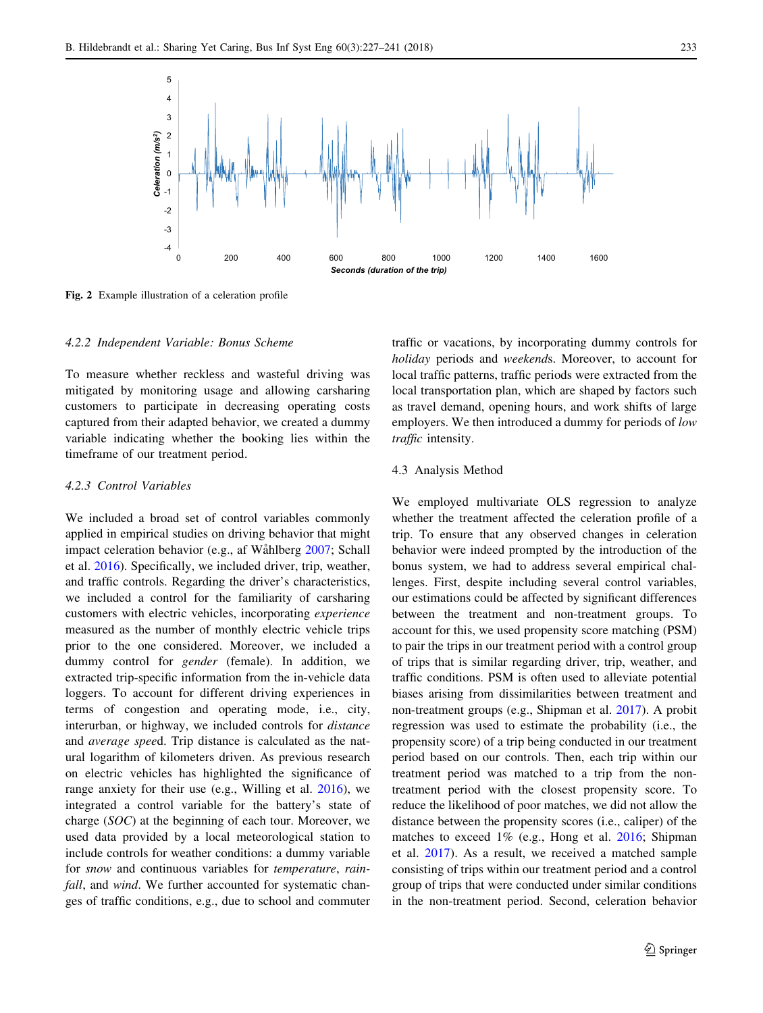<span id="page-6-0"></span>

Fig. 2 Example illustration of a celeration profile

#### 4.2.2 Independent Variable: Bonus Scheme

To measure whether reckless and wasteful driving was mitigated by monitoring usage and allowing carsharing customers to participate in decreasing operating costs captured from their adapted behavior, we created a dummy variable indicating whether the booking lies within the timeframe of our treatment period.

## 4.2.3 Control Variables

We included a broad set of control variables commonly applied in empirical studies on driving behavior that might impact celeration behavior (e.g., af Wåhlberg [2007](#page-13-0); Schall et al. [2016\)](#page-14-0). Specifically, we included driver, trip, weather, and traffic controls. Regarding the driver's characteristics, we included a control for the familiarity of carsharing customers with electric vehicles, incorporating experience measured as the number of monthly electric vehicle trips prior to the one considered. Moreover, we included a dummy control for gender (female). In addition, we extracted trip-specific information from the in-vehicle data loggers. To account for different driving experiences in terms of congestion and operating mode, i.e., city, interurban, or highway, we included controls for distance and average speed. Trip distance is calculated as the natural logarithm of kilometers driven. As previous research on electric vehicles has highlighted the significance of range anxiety for their use (e.g., Willing et al. [2016\)](#page-14-0), we integrated a control variable for the battery's state of charge (SOC) at the beginning of each tour. Moreover, we used data provided by a local meteorological station to include controls for weather conditions: a dummy variable for snow and continuous variables for temperature, rainfall, and wind. We further accounted for systematic changes of traffic conditions, e.g., due to school and commuter traffic or vacations, by incorporating dummy controls for holiday periods and weekends. Moreover, to account for local traffic patterns, traffic periods were extracted from the local transportation plan, which are shaped by factors such as travel demand, opening hours, and work shifts of large employers. We then introduced a dummy for periods of low traffic intensity.

#### 4.3 Analysis Method

We employed multivariate OLS regression to analyze whether the treatment affected the celeration profile of a trip. To ensure that any observed changes in celeration behavior were indeed prompted by the introduction of the bonus system, we had to address several empirical challenges. First, despite including several control variables, our estimations could be affected by significant differences between the treatment and non-treatment groups. To account for this, we used propensity score matching (PSM) to pair the trips in our treatment period with a control group of trips that is similar regarding driver, trip, weather, and traffic conditions. PSM is often used to alleviate potential biases arising from dissimilarities between treatment and non-treatment groups (e.g., Shipman et al. [2017](#page-14-0)). A probit regression was used to estimate the probability (i.e., the propensity score) of a trip being conducted in our treatment period based on our controls. Then, each trip within our treatment period was matched to a trip from the nontreatment period with the closest propensity score. To reduce the likelihood of poor matches, we did not allow the distance between the propensity scores (i.e., caliper) of the matches to exceed 1% (e.g., Hong et al. [2016;](#page-14-0) Shipman et al. [2017\)](#page-14-0). As a result, we received a matched sample consisting of trips within our treatment period and a control group of trips that were conducted under similar conditions in the non-treatment period. Second, celeration behavior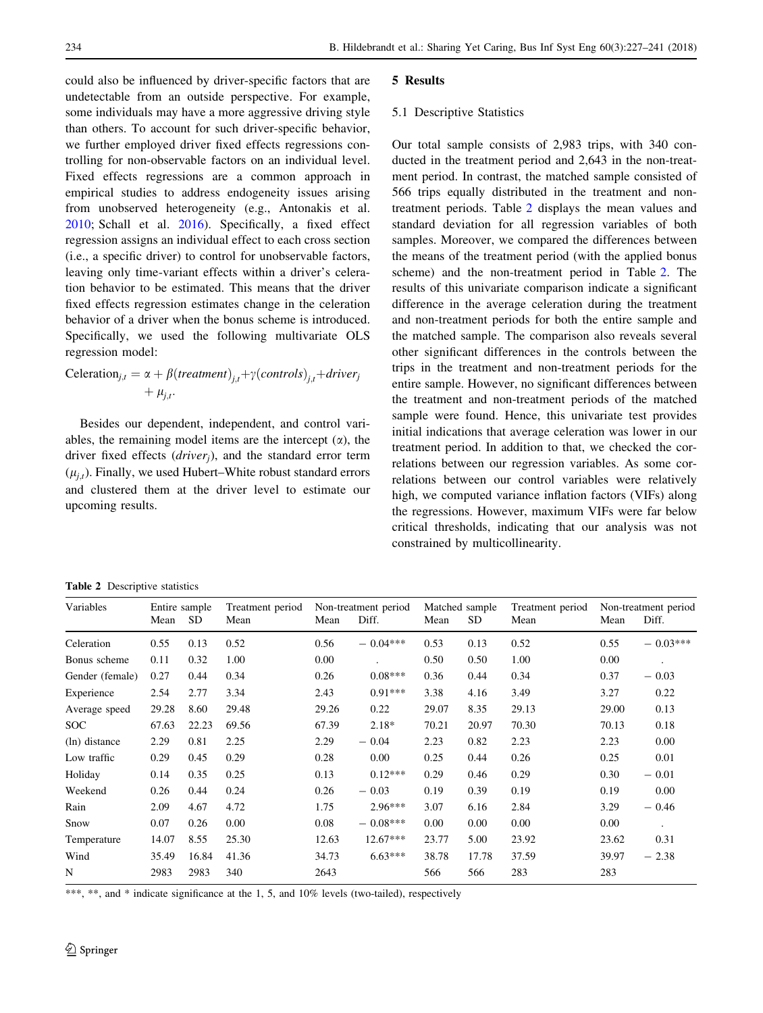could also be influenced by driver-specific factors that are undetectable from an outside perspective. For example, some individuals may have a more aggressive driving style than others. To account for such driver-specific behavior, we further employed driver fixed effects regressions controlling for non-observable factors on an individual level. Fixed effects regressions are a common approach in empirical studies to address endogeneity issues arising from unobserved heterogeneity (e.g., Antonakis et al. [2010;](#page-13-0) Schall et al. [2016](#page-14-0)). Specifically, a fixed effect regression assigns an individual effect to each cross section (i.e., a specific driver) to control for unobservable factors, leaving only time-variant effects within a driver's celeration behavior to be estimated. This means that the driver fixed effects regression estimates change in the celeration behavior of a driver when the bonus scheme is introduced. Specifically, we used the following multivariate OLS regression model:

$$
\text{Celeration}_{j,t} = \alpha + \beta \left( \text{treatment} \right)_{j,t} + \gamma \left( \text{controls} \right)_{j,t} + \text{driver}_j + \mu_{j,t}.
$$

Besides our dependent, independent, and control variables, the remaining model items are the intercept  $(\alpha)$ , the driver fixed effects  $(driver<sub>i</sub>)$ , and the standard error term  $(\mu_{i,t})$ . Finally, we used Hubert–White robust standard errors and clustered them at the driver level to estimate our upcoming results.

# 5 Results

## 5.1 Descriptive Statistics

Our total sample consists of 2,983 trips, with 340 conducted in the treatment period and 2,643 in the non-treatment period. In contrast, the matched sample consisted of 566 trips equally distributed in the treatment and nontreatment periods. Table 2 displays the mean values and standard deviation for all regression variables of both samples. Moreover, we compared the differences between the means of the treatment period (with the applied bonus scheme) and the non-treatment period in Table 2. The results of this univariate comparison indicate a significant difference in the average celeration during the treatment and non-treatment periods for both the entire sample and the matched sample. The comparison also reveals several other significant differences in the controls between the trips in the treatment and non-treatment periods for the entire sample. However, no significant differences between the treatment and non-treatment periods of the matched sample were found. Hence, this univariate test provides initial indications that average celeration was lower in our treatment period. In addition to that, we checked the correlations between our regression variables. As some correlations between our control variables were relatively high, we computed variance inflation factors (VIFs) along the regressions. However, maximum VIFs were far below critical thresholds, indicating that our analysis was not constrained by multicollinearity.

Table 2 Descriptive statistics

| Variables       | Entire sample |           | Treatment period | Non-treatment period |            | Matched sample |           | Treatment period | Non-treatment period |            |
|-----------------|---------------|-----------|------------------|----------------------|------------|----------------|-----------|------------------|----------------------|------------|
|                 | Mean          | <b>SD</b> | Mean             | Mean                 | Diff.      | Mean           | <b>SD</b> | Mean             | Mean                 | Diff.      |
| Celeration      | 0.55          | 0.13      | 0.52             | 0.56                 | $-0.04***$ | 0.53           | 0.13      | 0.52             | 0.55                 | $-0.03***$ |
| Bonus scheme    | 0.11          | 0.32      | 1.00             | 0.00                 |            | 0.50           | 0.50      | 1.00             | 0.00                 |            |
| Gender (female) | 0.27          | 0.44      | 0.34             | 0.26                 | $0.08***$  | 0.36           | 0.44      | 0.34             | 0.37                 | $-0.03$    |
| Experience      | 2.54          | 2.77      | 3.34             | 2.43                 | $0.91***$  | 3.38           | 4.16      | 3.49             | 3.27                 | 0.22       |
| Average speed   | 29.28         | 8.60      | 29.48            | 29.26                | 0.22       | 29.07          | 8.35      | 29.13            | 29.00                | 0.13       |
| <b>SOC</b>      | 67.63         | 22.23     | 69.56            | 67.39                | $2.18*$    | 70.21          | 20.97     | 70.30            | 70.13                | 0.18       |
| (ln) distance   | 2.29          | 0.81      | 2.25             | 2.29                 | $-0.04$    | 2.23           | 0.82      | 2.23             | 2.23                 | 0.00       |
| Low traffic     | 0.29          | 0.45      | 0.29             | 0.28                 | 0.00       | 0.25           | 0.44      | 0.26             | 0.25                 | 0.01       |
| Holiday         | 0.14          | 0.35      | 0.25             | 0.13                 | $0.12***$  | 0.29           | 0.46      | 0.29             | 0.30                 | $-0.01$    |
| Weekend         | 0.26          | 0.44      | 0.24             | 0.26                 | $-0.03$    | 0.19           | 0.39      | 0.19             | 0.19                 | 0.00       |
| Rain            | 2.09          | 4.67      | 4.72             | 1.75                 | $2.96***$  | 3.07           | 6.16      | 2.84             | 3.29                 | $-0.46$    |
| Snow            | 0.07          | 0.26      | 0.00             | 0.08                 | $-0.08***$ | 0.00           | 0.00      | 0.00             | 0.00                 |            |
| Temperature     | 14.07         | 8.55      | 25.30            | 12.63                | $12.67***$ | 23.77          | 5.00      | 23.92            | 23.62                | 0.31       |
| Wind            | 35.49         | 16.84     | 41.36            | 34.73                | $6.63***$  | 38.78          | 17.78     | 37.59            | 39.97                | $-2.38$    |
| N               | 2983          | 2983      | 340              | 2643                 |            | 566            | 566       | 283              | 283                  |            |

\*\*\*, \*\*, and \* indicate significance at the 1, 5, and 10% levels (two-tailed), respectively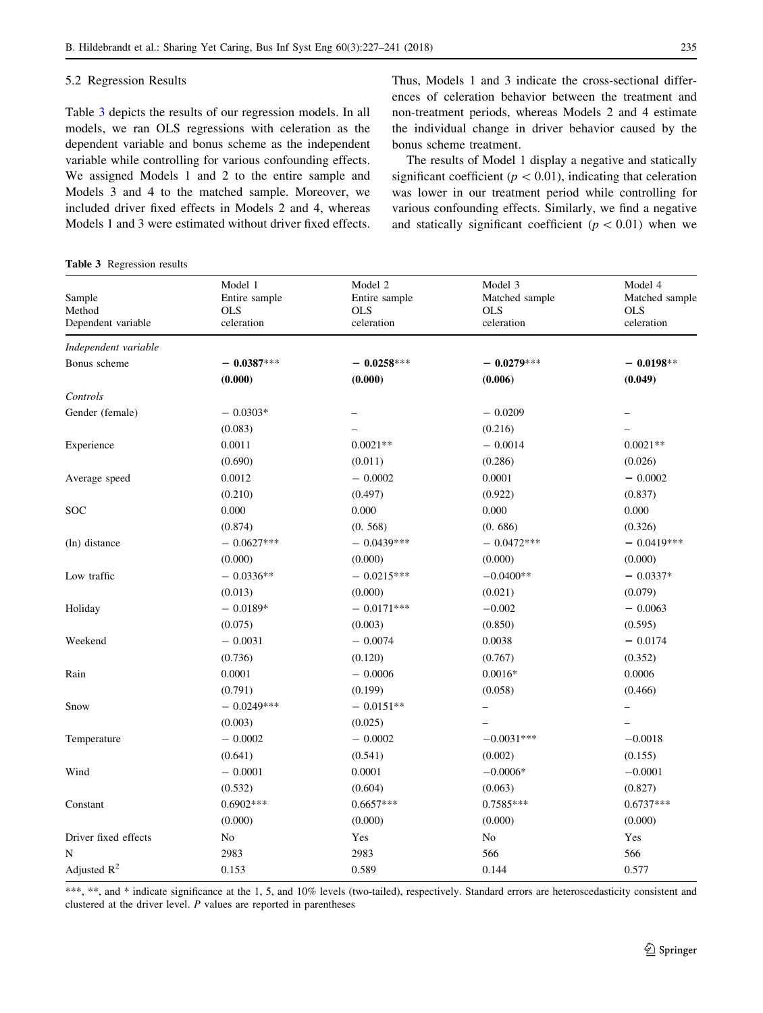#### <span id="page-8-0"></span>5.2 Regression Results

Table 3 depicts the results of our regression models. In all models, we ran OLS regressions with celeration as the dependent variable and bonus scheme as the independent variable while controlling for various confounding effects. We assigned Models 1 and 2 to the entire sample and Models 3 and 4 to the matched sample. Moreover, we included driver fixed effects in Models 2 and 4, whereas Models 1 and 3 were estimated without driver fixed effects.

Thus, Models 1 and 3 indicate the cross-sectional differences of celeration behavior between the treatment and non-treatment periods, whereas Models 2 and 4 estimate the individual change in driver behavior caused by the bonus scheme treatment.

The results of Model 1 display a negative and statically significant coefficient ( $p < 0.01$ ), indicating that celeration was lower in our treatment period while controlling for various confounding effects. Similarly, we find a negative and statically significant coefficient  $(p < 0.01)$  when we

#### Table 3 Regression results

| Sample<br>Method<br>Dependent variable | Model 1<br>Entire sample<br><b>OLS</b><br>celeration | Model 2<br>Entire sample<br><b>OLS</b><br>celeration | Model 3<br>Matched sample<br><b>OLS</b><br>celeration | Model 4<br>Matched sample<br><b>OLS</b><br>celeration |
|----------------------------------------|------------------------------------------------------|------------------------------------------------------|-------------------------------------------------------|-------------------------------------------------------|
| Independent variable                   |                                                      |                                                      |                                                       |                                                       |
| Bonus scheme                           | $-$ 0.0387***                                        | $-$ 0.0258***                                        | $-$ 0.0279***                                         | $-0.0198**$                                           |
|                                        | (0.000)                                              | (0.000)                                              | (0.006)                                               | (0.049)                                               |
| Controls                               |                                                      |                                                      |                                                       |                                                       |
| Gender (female)                        | $-0.0303*$                                           |                                                      | $-0.0209$                                             |                                                       |
|                                        | (0.083)                                              |                                                      | (0.216)                                               |                                                       |
| Experience                             | 0.0011                                               | $0.0021**$                                           | $-0.0014$                                             | $0.0021**$                                            |
|                                        | (0.690)                                              | (0.011)                                              | (0.286)                                               | (0.026)                                               |
| Average speed                          | 0.0012                                               | $-0.0002$                                            | 0.0001                                                | $-0.0002$                                             |
|                                        | (0.210)                                              | (0.497)                                              | (0.922)                                               | (0.837)                                               |
| <b>SOC</b>                             | 0.000                                                | 0.000                                                | 0.000                                                 | 0.000                                                 |
|                                        | (0.874)                                              | (0.568)                                              | (0.686)                                               | (0.326)                                               |
| (ln) distance                          | $-0.0627***$                                         | $-0.0439***$                                         | $-0.0472***$                                          | $-0.0419***$                                          |
|                                        | (0.000)                                              | (0.000)                                              | (0.000)                                               | (0.000)                                               |
| Low traffic                            | $-0.0336**$                                          | $-0.0215***$                                         | $-0.0400**$                                           | $-0.0337*$                                            |
|                                        | (0.013)                                              | (0.000)                                              | (0.021)                                               | (0.079)                                               |
| Holiday                                | $-0.0189*$                                           | $-0.0171***$                                         | $-0.002$                                              | $-0.0063$                                             |
|                                        | (0.075)                                              | (0.003)                                              | (0.850)                                               | (0.595)                                               |
| Weekend                                | $-0.0031$                                            | $-0.0074$                                            | 0.0038                                                | $-0.0174$                                             |
|                                        | (0.736)                                              | (0.120)                                              | (0.767)                                               | (0.352)                                               |
| Rain                                   | 0.0001                                               | $-0.0006$                                            | $0.0016*$                                             | 0.0006                                                |
|                                        | (0.791)                                              | (0.199)                                              | (0.058)                                               | (0.466)                                               |
| Snow                                   | $-0.0249***$                                         | $-0.0151**$                                          |                                                       |                                                       |
|                                        | (0.003)                                              | (0.025)                                              |                                                       |                                                       |
| Temperature                            | $-0.0002$                                            | $-0.0002$                                            | $-0.0031***$                                          | $-0.0018$                                             |
|                                        | (0.641)                                              | (0.541)                                              | (0.002)                                               | (0.155)                                               |
| Wind                                   | $-0.0001$                                            | 0.0001                                               | $-0.0006*$                                            | $-0.0001$                                             |
|                                        | (0.532)                                              | (0.604)                                              | (0.063)                                               | (0.827)                                               |
| Constant                               | $0.6902***$                                          | $0.6657***$                                          | $0.7585***$                                           | $0.6737***$                                           |
|                                        | (0.000)                                              | (0.000)                                              | (0.000)                                               | (0.000)                                               |
| Driver fixed effects                   | No                                                   | Yes                                                  | No                                                    | Yes                                                   |
| N                                      | 2983                                                 | 2983                                                 | 566                                                   | 566                                                   |
| Adjusted $R^2$                         | 0.153                                                | 0.589                                                | 0.144                                                 | 0.577                                                 |
|                                        |                                                      |                                                      |                                                       |                                                       |

\*\*\*, \*\*, and \* indicate significance at the 1, 5, and 10% levels (two-tailed), respectively. Standard errors are heteroscedasticity consistent and clustered at the driver level. P values are reported in parentheses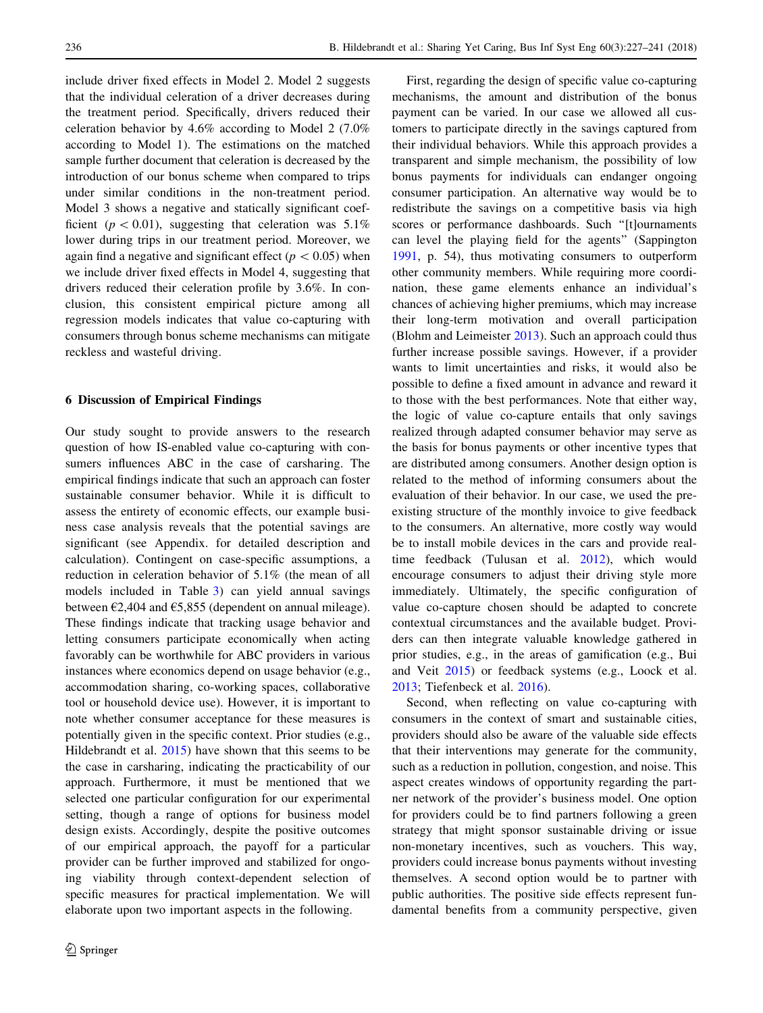include driver fixed effects in Model 2. Model 2 suggests that the individual celeration of a driver decreases during the treatment period. Specifically, drivers reduced their celeration behavior by 4.6% according to Model 2 (7.0% according to Model 1). The estimations on the matched sample further document that celeration is decreased by the introduction of our bonus scheme when compared to trips under similar conditions in the non-treatment period. Model 3 shows a negative and statically significant coefficient ( $p < 0.01$ ), suggesting that celeration was 5.1% lower during trips in our treatment period. Moreover, we again find a negative and significant effect ( $p < 0.05$ ) when we include driver fixed effects in Model 4, suggesting that drivers reduced their celeration profile by 3.6%. In conclusion, this consistent empirical picture among all regression models indicates that value co-capturing with consumers through bonus scheme mechanisms can mitigate reckless and wasteful driving.

## 6 Discussion of Empirical Findings

Our study sought to provide answers to the research question of how IS-enabled value co-capturing with consumers influences ABC in the case of carsharing. The empirical findings indicate that such an approach can foster sustainable consumer behavior. While it is difficult to assess the entirety of economic effects, our example business case analysis reveals that the potential savings are significant (see Appendix. for detailed description and calculation). Contingent on case-specific assumptions, a reduction in celeration behavior of 5.1% (the mean of all models included in Table [3](#page-8-0)) can yield annual savings between  $\epsilon$ 2,404 and  $\epsilon$ 5,855 (dependent on annual mileage). These findings indicate that tracking usage behavior and letting consumers participate economically when acting favorably can be worthwhile for ABC providers in various instances where economics depend on usage behavior (e.g., accommodation sharing, co-working spaces, collaborative tool or household device use). However, it is important to note whether consumer acceptance for these measures is potentially given in the specific context. Prior studies (e.g., Hildebrandt et al. [2015\)](#page-14-0) have shown that this seems to be the case in carsharing, indicating the practicability of our approach. Furthermore, it must be mentioned that we selected one particular configuration for our experimental setting, though a range of options for business model design exists. Accordingly, despite the positive outcomes of our empirical approach, the payoff for a particular provider can be further improved and stabilized for ongoing viability through context-dependent selection of specific measures for practical implementation. We will elaborate upon two important aspects in the following.

First, regarding the design of specific value co-capturing mechanisms, the amount and distribution of the bonus payment can be varied. In our case we allowed all customers to participate directly in the savings captured from their individual behaviors. While this approach provides a transparent and simple mechanism, the possibility of low bonus payments for individuals can endanger ongoing consumer participation. An alternative way would be to redistribute the savings on a competitive basis via high scores or performance dashboards. Such ''[t]ournaments can level the playing field for the agents'' (Sappington [1991](#page-14-0), p. 54), thus motivating consumers to outperform other community members. While requiring more coordination, these game elements enhance an individual's chances of achieving higher premiums, which may increase their long-term motivation and overall participation (Blohm and Leimeister [2013](#page-13-0)). Such an approach could thus further increase possible savings. However, if a provider wants to limit uncertainties and risks, it would also be possible to define a fixed amount in advance and reward it to those with the best performances. Note that either way, the logic of value co-capture entails that only savings realized through adapted consumer behavior may serve as the basis for bonus payments or other incentive types that are distributed among consumers. Another design option is related to the method of informing consumers about the evaluation of their behavior. In our case, we used the preexisting structure of the monthly invoice to give feedback to the consumers. An alternative, more costly way would be to install mobile devices in the cars and provide realtime feedback (Tulusan et al. [2012\)](#page-14-0), which would encourage consumers to adjust their driving style more immediately. Ultimately, the specific configuration of value co-capture chosen should be adapted to concrete contextual circumstances and the available budget. Providers can then integrate valuable knowledge gathered in prior studies, e.g., in the areas of gamification (e.g., Bui and Veit [2015\)](#page-13-0) or feedback systems (e.g., Loock et al. [2013](#page-14-0); Tiefenbeck et al. [2016](#page-14-0)).

Second, when reflecting on value co-capturing with consumers in the context of smart and sustainable cities, providers should also be aware of the valuable side effects that their interventions may generate for the community, such as a reduction in pollution, congestion, and noise. This aspect creates windows of opportunity regarding the partner network of the provider's business model. One option for providers could be to find partners following a green strategy that might sponsor sustainable driving or issue non-monetary incentives, such as vouchers. This way, providers could increase bonus payments without investing themselves. A second option would be to partner with public authorities. The positive side effects represent fundamental benefits from a community perspective, given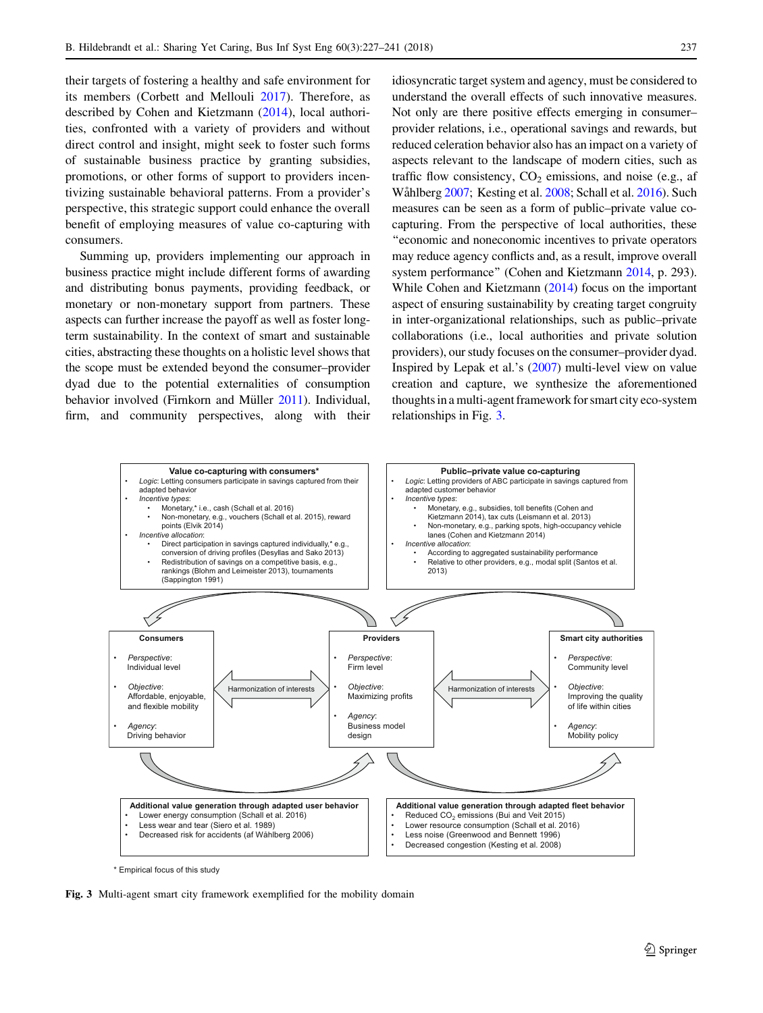their targets of fostering a healthy and safe environment for its members (Corbett and Mellouli [2017](#page-13-0)). Therefore, as described by Cohen and Kietzmann ([2014\)](#page-13-0), local authorities, confronted with a variety of providers and without direct control and insight, might seek to foster such forms of sustainable business practice by granting subsidies, promotions, or other forms of support to providers incentivizing sustainable behavioral patterns. From a provider's perspective, this strategic support could enhance the overall benefit of employing measures of value co-capturing with consumers.

Summing up, providers implementing our approach in business practice might include different forms of awarding and distributing bonus payments, providing feedback, or monetary or non-monetary support from partners. These aspects can further increase the payoff as well as foster longterm sustainability. In the context of smart and sustainable cities, abstracting these thoughts on a holistic level shows that the scope must be extended beyond the consumer–provider dyad due to the potential externalities of consumption behavior involved (Firnkorn and Müller [2011\)](#page-13-0). Individual, firm, and community perspectives, along with their idiosyncratic target system and agency, must be considered to understand the overall effects of such innovative measures. Not only are there positive effects emerging in consumer– provider relations, i.e., operational savings and rewards, but reduced celeration behavior also has an impact on a variety of aspects relevant to the landscape of modern cities, such as traffic flow consistency,  $CO<sub>2</sub>$  emissions, and noise (e.g., af Wåhlberg [2007;](#page-13-0) Kesting et al. [2008](#page-14-0); Schall et al. [2016\)](#page-14-0). Such measures can be seen as a form of public–private value cocapturing. From the perspective of local authorities, these ''economic and noneconomic incentives to private operators may reduce agency conflicts and, as a result, improve overall system performance'' (Cohen and Kietzmann [2014](#page-13-0), p. 293). While Cohen and Kietzmann [\(2014\)](#page-13-0) focus on the important aspect of ensuring sustainability by creating target congruity in inter-organizational relationships, such as public–private collaborations (i.e., local authorities and private solution providers), our study focuses on the consumer–provider dyad. Inspired by Lepak et al.'s [\(2007\)](#page-14-0) multi-level view on value creation and capture, we synthesize the aforementioned thoughtsin a multi-agent framework for smart city eco-system relationships in Fig. 3.



Fig. 3 Multi-agent smart city framework exemplified for the mobility domain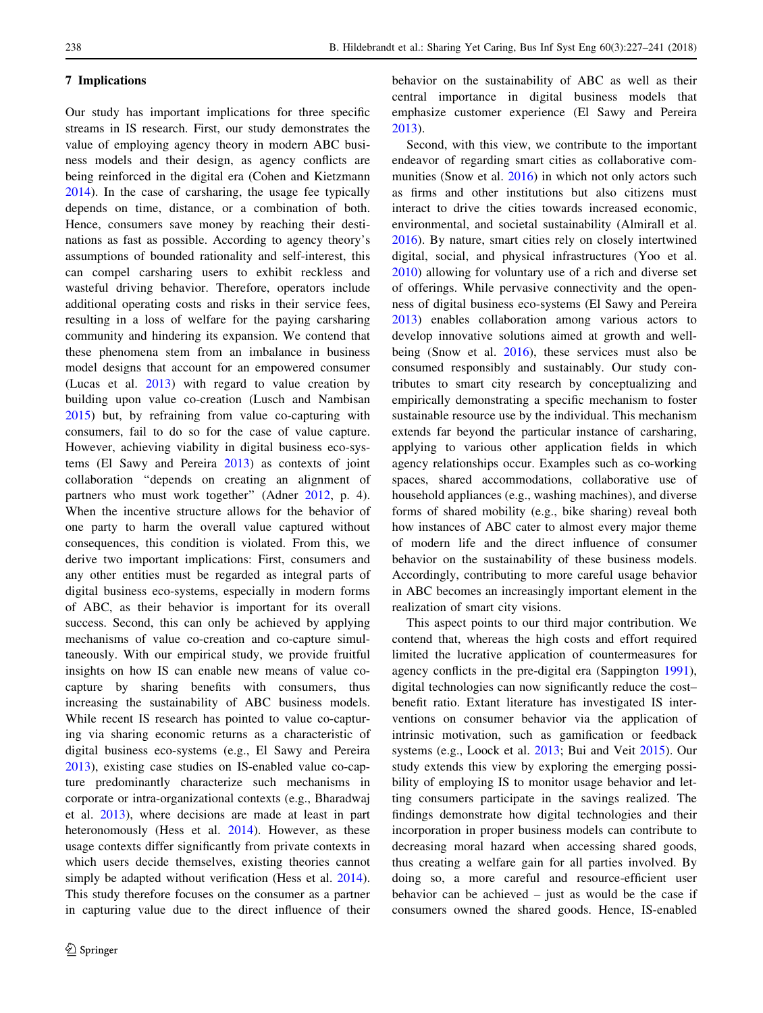## 7 Implications

Our study has important implications for three specific streams in IS research. First, our study demonstrates the value of employing agency theory in modern ABC business models and their design, as agency conflicts are being reinforced in the digital era (Cohen and Kietzmann [2014\)](#page-13-0). In the case of carsharing, the usage fee typically depends on time, distance, or a combination of both. Hence, consumers save money by reaching their destinations as fast as possible. According to agency theory's assumptions of bounded rationality and self-interest, this can compel carsharing users to exhibit reckless and wasteful driving behavior. Therefore, operators include additional operating costs and risks in their service fees, resulting in a loss of welfare for the paying carsharing community and hindering its expansion. We contend that these phenomena stem from an imbalance in business model designs that account for an empowered consumer (Lucas et al. [2013\)](#page-14-0) with regard to value creation by building upon value co-creation (Lusch and Nambisan [2015\)](#page-14-0) but, by refraining from value co-capturing with consumers, fail to do so for the case of value capture. However, achieving viability in digital business eco-systems (El Sawy and Pereira [2013](#page-13-0)) as contexts of joint collaboration ''depends on creating an alignment of partners who must work together'' (Adner [2012](#page-13-0), p. 4). When the incentive structure allows for the behavior of one party to harm the overall value captured without consequences, this condition is violated. From this, we derive two important implications: First, consumers and any other entities must be regarded as integral parts of digital business eco-systems, especially in modern forms of ABC, as their behavior is important for its overall success. Second, this can only be achieved by applying mechanisms of value co-creation and co-capture simultaneously. With our empirical study, we provide fruitful insights on how IS can enable new means of value cocapture by sharing benefits with consumers, thus increasing the sustainability of ABC business models. While recent IS research has pointed to value co-capturing via sharing economic returns as a characteristic of digital business eco-systems (e.g., El Sawy and Pereira [2013\)](#page-13-0), existing case studies on IS-enabled value co-capture predominantly characterize such mechanisms in corporate or intra-organizational contexts (e.g., Bharadwaj et al. [2013](#page-13-0)), where decisions are made at least in part heteronomously (Hess et al. [2014](#page-13-0)). However, as these usage contexts differ significantly from private contexts in which users decide themselves, existing theories cannot simply be adapted without verification (Hess et al. [2014](#page-13-0)). This study therefore focuses on the consumer as a partner in capturing value due to the direct influence of their

behavior on the sustainability of ABC as well as their central importance in digital business models that emphasize customer experience (El Sawy and Pereira [2013](#page-13-0)).

Second, with this view, we contribute to the important endeavor of regarding smart cities as collaborative com-munities (Snow et al. [2016\)](#page-14-0) in which not only actors such as firms and other institutions but also citizens must interact to drive the cities towards increased economic, environmental, and societal sustainability (Almirall et al. [2016](#page-13-0)). By nature, smart cities rely on closely intertwined digital, social, and physical infrastructures (Yoo et al. [2010](#page-14-0)) allowing for voluntary use of a rich and diverse set of offerings. While pervasive connectivity and the openness of digital business eco-systems (El Sawy and Pereira [2013](#page-13-0)) enables collaboration among various actors to develop innovative solutions aimed at growth and wellbeing (Snow et al. [2016](#page-14-0)), these services must also be consumed responsibly and sustainably. Our study contributes to smart city research by conceptualizing and empirically demonstrating a specific mechanism to foster sustainable resource use by the individual. This mechanism extends far beyond the particular instance of carsharing, applying to various other application fields in which agency relationships occur. Examples such as co-working spaces, shared accommodations, collaborative use of household appliances (e.g., washing machines), and diverse forms of shared mobility (e.g., bike sharing) reveal both how instances of ABC cater to almost every major theme of modern life and the direct influence of consumer behavior on the sustainability of these business models. Accordingly, contributing to more careful usage behavior in ABC becomes an increasingly important element in the realization of smart city visions.

This aspect points to our third major contribution. We contend that, whereas the high costs and effort required limited the lucrative application of countermeasures for agency conflicts in the pre-digital era (Sappington [1991](#page-14-0)), digital technologies can now significantly reduce the cost– benefit ratio. Extant literature has investigated IS interventions on consumer behavior via the application of intrinsic motivation, such as gamification or feedback systems (e.g., Loock et al. [2013](#page-14-0); Bui and Veit [2015\)](#page-13-0). Our study extends this view by exploring the emerging possibility of employing IS to monitor usage behavior and letting consumers participate in the savings realized. The findings demonstrate how digital technologies and their incorporation in proper business models can contribute to decreasing moral hazard when accessing shared goods, thus creating a welfare gain for all parties involved. By doing so, a more careful and resource-efficient user behavior can be achieved – just as would be the case if consumers owned the shared goods. Hence, IS-enabled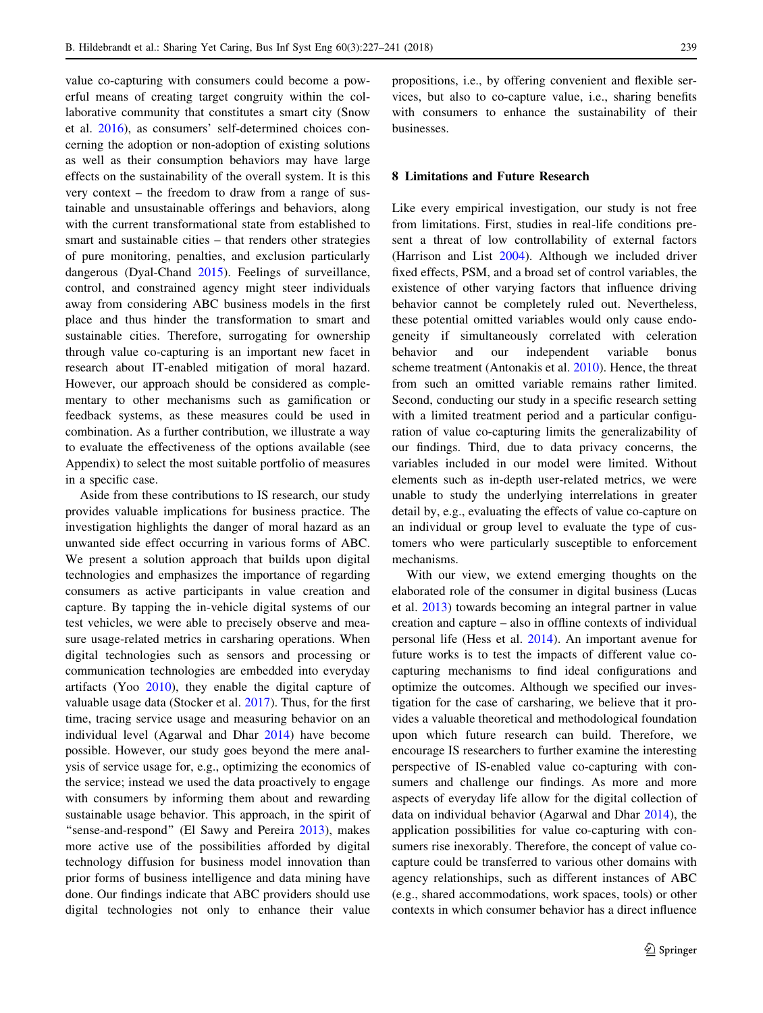value co-capturing with consumers could become a powerful means of creating target congruity within the collaborative community that constitutes a smart city (Snow et al. [2016\)](#page-14-0), as consumers' self-determined choices concerning the adoption or non-adoption of existing solutions as well as their consumption behaviors may have large effects on the sustainability of the overall system. It is this very context – the freedom to draw from a range of sustainable and unsustainable offerings and behaviors, along with the current transformational state from established to smart and sustainable cities – that renders other strategies of pure monitoring, penalties, and exclusion particularly dangerous (Dyal-Chand [2015\)](#page-13-0). Feelings of surveillance, control, and constrained agency might steer individuals away from considering ABC business models in the first place and thus hinder the transformation to smart and sustainable cities. Therefore, surrogating for ownership through value co-capturing is an important new facet in research about IT-enabled mitigation of moral hazard. However, our approach should be considered as complementary to other mechanisms such as gamification or feedback systems, as these measures could be used in combination. As a further contribution, we illustrate a way to evaluate the effectiveness of the options available (see Appendix) to select the most suitable portfolio of measures in a specific case.

Aside from these contributions to IS research, our study provides valuable implications for business practice. The investigation highlights the danger of moral hazard as an unwanted side effect occurring in various forms of ABC. We present a solution approach that builds upon digital technologies and emphasizes the importance of regarding consumers as active participants in value creation and capture. By tapping the in-vehicle digital systems of our test vehicles, we were able to precisely observe and measure usage-related metrics in carsharing operations. When digital technologies such as sensors and processing or communication technologies are embedded into everyday artifacts (Yoo [2010\)](#page-14-0), they enable the digital capture of valuable usage data (Stocker et al. [2017](#page-14-0)). Thus, for the first time, tracing service usage and measuring behavior on an individual level (Agarwal and Dhar [2014](#page-13-0)) have become possible. However, our study goes beyond the mere analysis of service usage for, e.g., optimizing the economics of the service; instead we used the data proactively to engage with consumers by informing them about and rewarding sustainable usage behavior. This approach, in the spirit of "sense-and-respond" (El Sawy and Pereira [2013\)](#page-13-0), makes more active use of the possibilities afforded by digital technology diffusion for business model innovation than prior forms of business intelligence and data mining have done. Our findings indicate that ABC providers should use digital technologies not only to enhance their value propositions, i.e., by offering convenient and flexible services, but also to co-capture value, i.e., sharing benefits with consumers to enhance the sustainability of their businesses.

# 8 Limitations and Future Research

Like every empirical investigation, our study is not free from limitations. First, studies in real-life conditions present a threat of low controllability of external factors (Harrison and List [2004\)](#page-13-0). Although we included driver fixed effects, PSM, and a broad set of control variables, the existence of other varying factors that influence driving behavior cannot be completely ruled out. Nevertheless, these potential omitted variables would only cause endogeneity if simultaneously correlated with celeration behavior and our independent variable bonus scheme treatment (Antonakis et al. [2010\)](#page-13-0). Hence, the threat from such an omitted variable remains rather limited. Second, conducting our study in a specific research setting with a limited treatment period and a particular configuration of value co-capturing limits the generalizability of our findings. Third, due to data privacy concerns, the variables included in our model were limited. Without elements such as in-depth user-related metrics, we were unable to study the underlying interrelations in greater detail by, e.g., evaluating the effects of value co-capture on an individual or group level to evaluate the type of customers who were particularly susceptible to enforcement mechanisms.

With our view, we extend emerging thoughts on the elaborated role of the consumer in digital business (Lucas et al. [2013\)](#page-14-0) towards becoming an integral partner in value creation and capture – also in offline contexts of individual personal life (Hess et al. [2014](#page-13-0)). An important avenue for future works is to test the impacts of different value cocapturing mechanisms to find ideal configurations and optimize the outcomes. Although we specified our investigation for the case of carsharing, we believe that it provides a valuable theoretical and methodological foundation upon which future research can build. Therefore, we encourage IS researchers to further examine the interesting perspective of IS-enabled value co-capturing with consumers and challenge our findings. As more and more aspects of everyday life allow for the digital collection of data on individual behavior (Agarwal and Dhar [2014\)](#page-13-0), the application possibilities for value co-capturing with consumers rise inexorably. Therefore, the concept of value cocapture could be transferred to various other domains with agency relationships, such as different instances of ABC (e.g., shared accommodations, work spaces, tools) or other contexts in which consumer behavior has a direct influence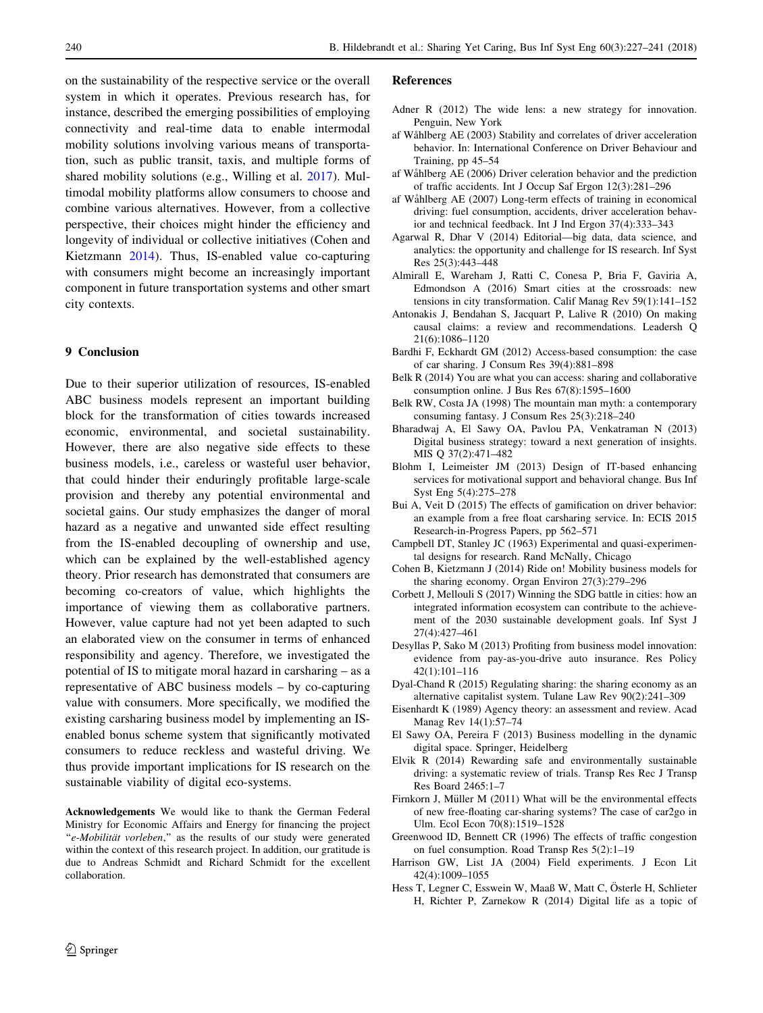<span id="page-13-0"></span>on the sustainability of the respective service or the overall system in which it operates. Previous research has, for instance, described the emerging possibilities of employing connectivity and real-time data to enable intermodal mobility solutions involving various means of transportation, such as public transit, taxis, and multiple forms of shared mobility solutions (e.g., Willing et al. [2017\)](#page-14-0). Multimodal mobility platforms allow consumers to choose and combine various alternatives. However, from a collective perspective, their choices might hinder the efficiency and longevity of individual or collective initiatives (Cohen and Kietzmann 2014). Thus, IS-enabled value co-capturing with consumers might become an increasingly important component in future transportation systems and other smart city contexts.

# 9 Conclusion

Due to their superior utilization of resources, IS-enabled ABC business models represent an important building block for the transformation of cities towards increased economic, environmental, and societal sustainability. However, there are also negative side effects to these business models, i.e., careless or wasteful user behavior, that could hinder their enduringly profitable large-scale provision and thereby any potential environmental and societal gains. Our study emphasizes the danger of moral hazard as a negative and unwanted side effect resulting from the IS-enabled decoupling of ownership and use, which can be explained by the well-established agency theory. Prior research has demonstrated that consumers are becoming co-creators of value, which highlights the importance of viewing them as collaborative partners. However, value capture had not yet been adapted to such an elaborated view on the consumer in terms of enhanced responsibility and agency. Therefore, we investigated the potential of IS to mitigate moral hazard in carsharing – as a representative of ABC business models – by co-capturing value with consumers. More specifically, we modified the existing carsharing business model by implementing an ISenabled bonus scheme system that significantly motivated consumers to reduce reckless and wasteful driving. We thus provide important implications for IS research on the sustainable viability of digital eco-systems.

Acknowledgements We would like to thank the German Federal Ministry for Economic Affairs and Energy for financing the project "e-Mobilität vorleben," as the results of our study were generated within the context of this research project. In addition, our gratitude is due to Andreas Schmidt and Richard Schmidt for the excellent collaboration.

#### References

- Adner R (2012) The wide lens: a new strategy for innovation. Penguin, New York
- af Wa˚hlberg AE (2003) Stability and correlates of driver acceleration behavior. In: International Conference on Driver Behaviour and Training, pp 45–54
- af Wa˚hlberg AE (2006) Driver celeration behavior and the prediction of traffic accidents. Int J Occup Saf Ergon 12(3):281–296
- af Wa˚hlberg AE (2007) Long-term effects of training in economical driving: fuel consumption, accidents, driver acceleration behavior and technical feedback. Int J Ind Ergon 37(4):333–343
- Agarwal R, Dhar V (2014) Editorial—big data, data science, and analytics: the opportunity and challenge for IS research. Inf Syst Res 25(3):443–448
- Almirall E, Wareham J, Ratti C, Conesa P, Bria F, Gaviria A, Edmondson A (2016) Smart cities at the crossroads: new tensions in city transformation. Calif Manag Rev 59(1):141–152
- Antonakis J, Bendahan S, Jacquart P, Lalive R (2010) On making causal claims: a review and recommendations. Leadersh Q 21(6):1086–1120
- Bardhi F, Eckhardt GM (2012) Access-based consumption: the case of car sharing. J Consum Res 39(4):881–898
- Belk R (2014) You are what you can access: sharing and collaborative consumption online. J Bus Res 67(8):1595–1600
- Belk RW, Costa JA (1998) The mountain man myth: a contemporary consuming fantasy. J Consum Res 25(3):218–240
- Bharadwaj A, El Sawy OA, Pavlou PA, Venkatraman N (2013) Digital business strategy: toward a next generation of insights. MIS Q 37(2):471–482
- Blohm I, Leimeister JM (2013) Design of IT-based enhancing services for motivational support and behavioral change. Bus Inf Syst Eng 5(4):275–278
- Bui A, Veit D (2015) The effects of gamification on driver behavior: an example from a free float carsharing service. In: ECIS 2015 Research-in-Progress Papers, pp 562–571
- Campbell DT, Stanley JC (1963) Experimental and quasi-experimental designs for research. Rand McNally, Chicago
- Cohen B, Kietzmann J (2014) Ride on! Mobility business models for the sharing economy. Organ Environ 27(3):279–296
- Corbett J, Mellouli S (2017) Winning the SDG battle in cities: how an integrated information ecosystem can contribute to the achievement of the 2030 sustainable development goals. Inf Syst J 27(4):427–461
- Desyllas P, Sako M (2013) Profiting from business model innovation: evidence from pay-as-you-drive auto insurance. Res Policy 42(1):101–116
- Dyal-Chand R (2015) Regulating sharing: the sharing economy as an alternative capitalist system. Tulane Law Rev 90(2):241–309
- Eisenhardt K (1989) Agency theory: an assessment and review. Acad Manag Rev 14(1):57–74
- El Sawy OA, Pereira F (2013) Business modelling in the dynamic digital space. Springer, Heidelberg
- Elvik R (2014) Rewarding safe and environmentally sustainable driving: a systematic review of trials. Transp Res Rec J Transp Res Board 2465:1–7
- Firnkorn J, Müller M (2011) What will be the environmental effects of new free-floating car-sharing systems? The case of car2go in Ulm. Ecol Econ 70(8):1519–1528
- Greenwood ID, Bennett CR (1996) The effects of traffic congestion on fuel consumption. Road Transp Res 5(2):1–19
- Harrison GW, List JA (2004) Field experiments. J Econ Lit 42(4):1009–1055
- Hess T, Legner C, Esswein W, Maaß W, Matt C, Österle H, Schlieter H, Richter P, Zarnekow R (2014) Digital life as a topic of